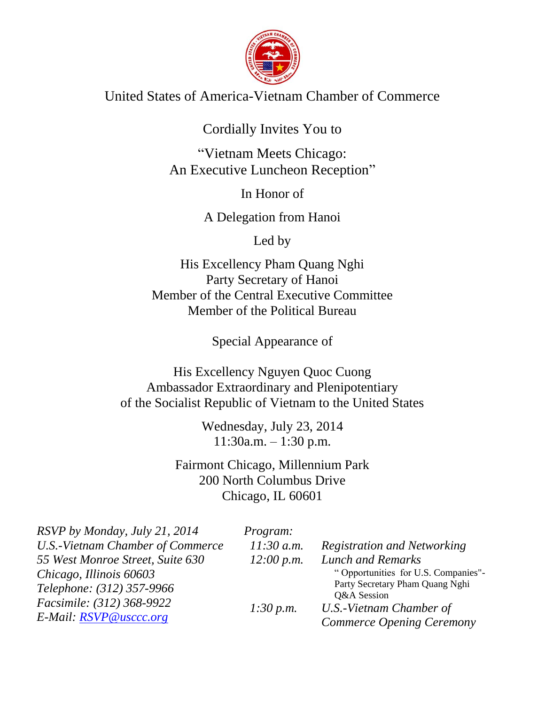

United States of America-Vietnam Chamber of Commerce

Cordially Invites You to

"Vietnam Meets Chicago: An Executive Luncheon Reception"

In Honor of

A Delegation from Hanoi

Led by

His Excellency Pham Quang Nghi Party Secretary of Hanoi Member of the Central Executive Committee Member of the Political Bureau

Special Appearance of

His Excellency Nguyen Quoc Cuong Ambassador Extraordinary and Plenipotentiary of the Socialist Republic of Vietnam to the United States

> Wednesday, July 23, 2014 11:30a.m. – 1:30 p.m.

Fairmont Chicago, Millennium Park 200 North Columbus Drive Chicago, IL 60601

| RSVP by Monday, July 21, 2014           | <i>Program:</i> |                                     |
|-----------------------------------------|-----------------|-------------------------------------|
| <b>U.S.-Vietnam Chamber of Commerce</b> | $11:30$ a.m.    | Registration and Networking         |
| 55 West Monroe Street, Suite 630        | 12:00 p.m.      | <b>Lunch and Remarks</b>            |
| Chicago, Illinois 60603                 |                 | "Opportunities for U.S. Companies"- |
| Telephone: (312) 357-9966               |                 | Party Secretary Pham Quang Nghi     |
|                                         |                 | Q&A Session                         |
| Facsimile: (312) 368-9922               | 1:30 p.m.       | U.S.-Vietnam Chamber of             |
| E-Mail: RSVP@usccc.org                  |                 | <b>Commerce Opening Ceremony</b>    |